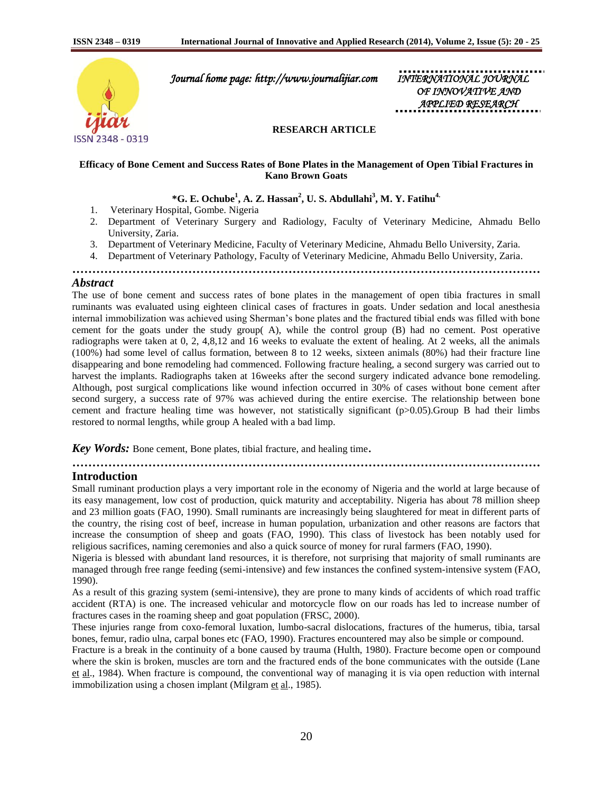

 *Journal home page: http://www.journalijiar.com INTERNATIONAL JOURNAL* 

*OF INNOVATIVE AND APPLIED RESEARCH* 

## **RESEARCH ARTICLE**

### **Efficacy of Bone Cement and Success Rates of Bone Plates in the Management of Open Tibial Fractures in Kano Brown Goats**

# **\*G. E. Ochube<sup>1</sup> , A. Z. Hassan<sup>2</sup> , U. S. Abdullahi<sup>3</sup> , M. Y. Fatihu4.**

- 1. Veterinary Hospital, Gombe. Nigeria
- 2. Department of Veterinary Surgery and Radiology, Faculty of Veterinary Medicine, Ahmadu Bello University, Zaria.
- 3. Department of Veterinary Medicine, Faculty of Veterinary Medicine, Ahmadu Bello University, Zaria.
- 4. Department of Veterinary Pathology, Faculty of Veterinary Medicine, Ahmadu Bello University, Zaria.

**………………………………………………………………………………………………………**

# *Abstract*

The use of bone cement and success rates of bone plates in the management of open tibia fractures in small ruminants was evaluated using eighteen clinical cases of fractures in goats. Under sedation and local anesthesia internal immobilization was achieved using Sherman"s bone plates and the fractured tibial ends was filled with bone cement for the goats under the study group( A), while the control group (B) had no cement. Post operative radiographs were taken at 0, 2, 4,8,12 and 16 weeks to evaluate the extent of healing. At 2 weeks, all the animals (100%) had some level of callus formation, between 8 to 12 weeks, sixteen animals (80%) had their fracture line disappearing and bone remodeling had commenced. Following fracture healing, a second surgery was carried out to harvest the implants. Radiographs taken at 16weeks after the second surgery indicated advance bone remodeling. Although, post surgical complications like wound infection occurred in 30% of cases without bone cement after second surgery, a success rate of 97% was achieved during the entire exercise. The relationship between bone cement and fracture healing time was however, not statistically significant  $(p>0.05)$ . Group B had their limbs restored to normal lengths, while group A healed with a bad limp.

*Key Words:* Bone cement, Bone plates, tibial fracture, and healing time.

**………………………………………………………………………………………………………**

## **Introduction**

Small ruminant production plays a very important role in the economy of Nigeria and the world at large because of its easy management, low cost of production, quick maturity and acceptability. Nigeria has about 78 million sheep and 23 million goats (FAO, 1990). Small ruminants are increasingly being slaughtered for meat in different parts of the country, the rising cost of beef, increase in human population, urbanization and other reasons are factors that increase the consumption of sheep and goats (FAO, 1990). This class of livestock has been notably used for religious sacrifices, naming ceremonies and also a quick source of money for rural farmers (FAO, 1990).

Nigeria is blessed with abundant land resources, it is therefore, not surprising that majority of small ruminants are managed through free range feeding (semi-intensive) and few instances the confined system-intensive system (FAO, 1990).

As a result of this grazing system (semi-intensive), they are prone to many kinds of accidents of which road traffic accident (RTA) is one. The increased vehicular and motorcycle flow on our roads has led to increase number of fractures cases in the roaming sheep and goat population (FRSC, 2000).

These injuries range from coxo-femoral luxation, lumbo-sacral dislocations, fractures of the humerus, tibia, tarsal bones, femur, radio ulna, carpal bones etc (FAO, 1990). Fractures encountered may also be simple or compound.

Fracture is a break in the continuity of a bone caused by trauma (Hulth, 1980). Fracture become open or compound where the skin is broken, muscles are torn and the fractured ends of the bone communicates with the outside (Lane et al., 1984). When fracture is compound, the conventional way of managing it is via open reduction with internal immobilization using a chosen implant (Milgram et al., 1985).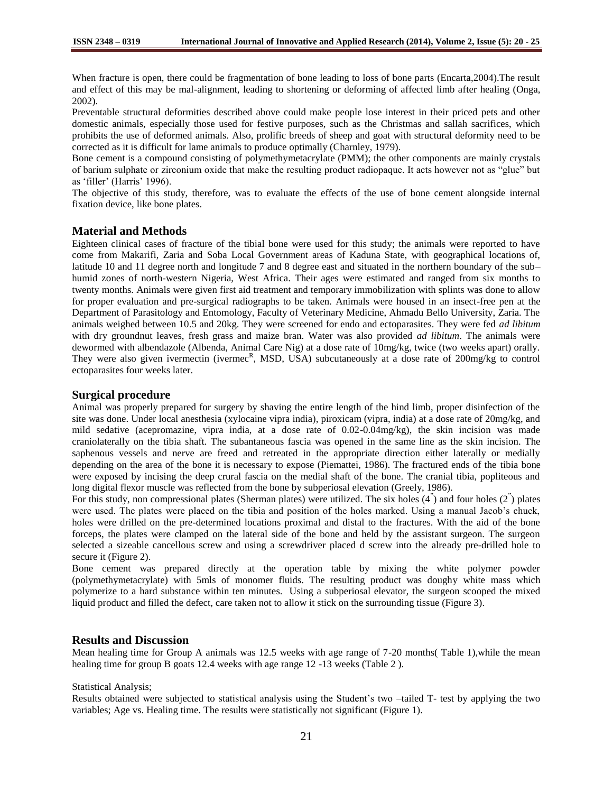When fracture is open, there could be fragmentation of bone leading to loss of bone parts (Encarta,2004).The result and effect of this may be mal-alignment, leading to shortening or deforming of affected limb after healing (Onga, 2002).

Preventable structural deformities described above could make people lose interest in their priced pets and other domestic animals, especially those used for festive purposes, such as the Christmas and sallah sacrifices, which prohibits the use of deformed animals. Also, prolific breeds of sheep and goat with structural deformity need to be corrected as it is difficult for lame animals to produce optimally (Charnley, 1979).

Bone cement is a compound consisting of polymethymetacrylate (PMM); the other components are mainly crystals of barium sulphate or zirconium oxide that make the resulting product radiopaque. It acts however not as "glue" but as 'filler' (Harris' 1996).

The objective of this study, therefore, was to evaluate the effects of the use of bone cement alongside internal fixation device, like bone plates.

# **Material and Methods**

Eighteen clinical cases of fracture of the tibial bone were used for this study; the animals were reported to have come from Makarifi, Zaria and Soba Local Government areas of Kaduna State, with geographical locations of, latitude 10 and 11 degree north and longitude 7 and 8 degree east and situated in the northern boundary of the sub– humid zones of north-western Nigeria, West Africa. Their ages were estimated and ranged from six months to twenty months. Animals were given first aid treatment and temporary immobilization with splints was done to allow for proper evaluation and pre-surgical radiographs to be taken. Animals were housed in an insect-free pen at the Department of Parasitology and Entomology, Faculty of Veterinary Medicine, Ahmadu Bello University, Zaria. The animals weighed between 10.5 and 20kg. They were screened for endo and ectoparasites. They were fed *ad libitum* with dry groundnut leaves, fresh grass and maize bran. Water was also provided *ad libitum*. The animals were dewormed with albendazole (Albenda, Animal Care Nig) at a dose rate of 10mg/kg, twice (two weeks apart) orally. They were also given ivermectin (ivermec<sup>R</sup>, MSD, USA) subcutaneously at a dose rate of 200mg/kg to control ectoparasites four weeks later.

### **Surgical procedure**

Animal was properly prepared for surgery by shaving the entire length of the hind limb, proper disinfection of the site was done. Under local anesthesia (xylocaine vipra india), piroxicam (vipra, india) at a dose rate of 20mg/kg, and mild sedative (acepromazine, vipra india, at a dose rate of 0.02-0.04mg/kg), the skin incision was made craniolaterally on the tibia shaft. The subantaneous fascia was opened in the same line as the skin incision. The saphenous vessels and nerve are freed and retreated in the appropriate direction either laterally or medially depending on the area of the bone it is necessary to expose (Piemattei, 1986). The fractured ends of the tibia bone were exposed by incising the deep crural fascia on the medial shaft of the bone. The cranial tibia, popliteous and long digital flexor muscle was reflected from the bone by subperiosal elevation (Greely, 1986).

For this study, non compressional plates (Sherman plates) were utilized. The six holes (4<sup>"</sup>) and four holes (2<sup>"</sup>) plates were used. The plates were placed on the tibia and position of the holes marked. Using a manual Jacob's chuck, holes were drilled on the pre-determined locations proximal and distal to the fractures. With the aid of the bone forceps, the plates were clamped on the lateral side of the bone and held by the assistant surgeon. The surgeon selected a sizeable cancellous screw and using a screwdriver placed d screw into the already pre-drilled hole to secure it (Figure 2).

Bone cement was prepared directly at the operation table by mixing the white polymer powder (polymethymetacrylate) with 5mls of monomer fluids. The resulting product was doughy white mass which polymerize to a hard substance within ten minutes. Using a subperiosal elevator, the surgeon scooped the mixed liquid product and filled the defect, care taken not to allow it stick on the surrounding tissue (Figure 3).

# **Results and Discussion**

Mean healing time for Group A animals was 12.5 weeks with age range of 7-20 months( Table 1),while the mean healing time for group B goats 12.4 weeks with age range 12 -13 weeks (Table 2 ).

#### Statistical Analysis;

Results obtained were subjected to statistical analysis using the Student"s two –tailed T- test by applying the two variables; Age vs. Healing time. The results were statistically not significant (Figure 1).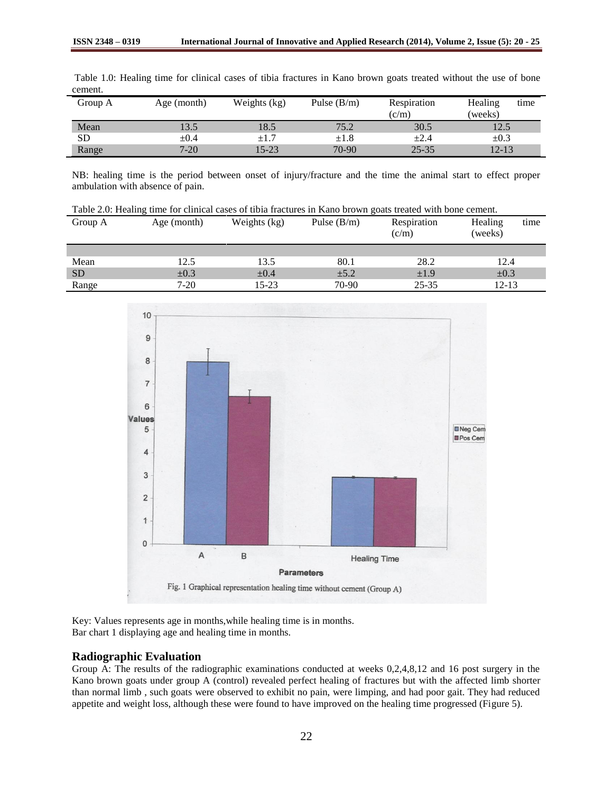| ISSN 2348 – V319 | International Journal of Innovative and Applied Research (2014), Volume 2, ISSU |
|------------------|---------------------------------------------------------------------------------|
|                  |                                                                                 |

| Group A | Age (month) | Weights (kg) | Pulse $(B/m)$ | Respiration<br>(c/m) | Healing<br>time<br>(weeks) |
|---------|-------------|--------------|---------------|----------------------|----------------------------|
| Mean    | 13.5        | 18.5         | 75.2          | 30.5                 | 12.5                       |
| SD      | $\pm 0.4$   | $\pm 1.7$    | $\pm 1.8$     | $\pm 2.4$            | $\pm 0.3$                  |
| Range   | $7 - 20$    | 15-23        | 70-90         | $25 - 35$            | $12 - 13$                  |

Table 1.0: Healing time for clinical cases of tibia fractures in Kano brown goats treated without the use of bone cement.

NB: healing time is the period between onset of injury/fracture and the time the animal start to effect proper ambulation with absence of pain.

Table 2.0: Healing time for clinical cases of tibia fractures in Kano brown goats treated with bone cement.

| Group A   | Age (month) | Weights (kg) | Pulse $(B/m)$ | Respiration<br>(c/m) | Healing<br>time<br>(weeks) |
|-----------|-------------|--------------|---------------|----------------------|----------------------------|
|           |             |              |               |                      |                            |
| Mean      | 12.5        | 13.5         | 80.1          | 28.2                 | 12.4                       |
| <b>SD</b> | $\pm 0.3$   | $\pm 0.4$    | $\pm 5.2$     | $\pm 1.9$            | $\pm 0.3$                  |
| Range     | 7-20        | 15-23        | 70-90         | $25 - 35$            | $12 - 13$                  |



Key: Values represents age in months,while healing time is in months. Bar chart 1 displaying age and healing time in months.

## **Radiographic Evaluation**

Group A: The results of the radiographic examinations conducted at weeks 0,2,4,8,12 and 16 post surgery in the Kano brown goats under group A (control) revealed perfect healing of fractures but with the affected limb shorter than normal limb , such goats were observed to exhibit no pain, were limping, and had poor gait. They had reduced appetite and weight loss, although these were found to have improved on the healing time progressed (Figure 5).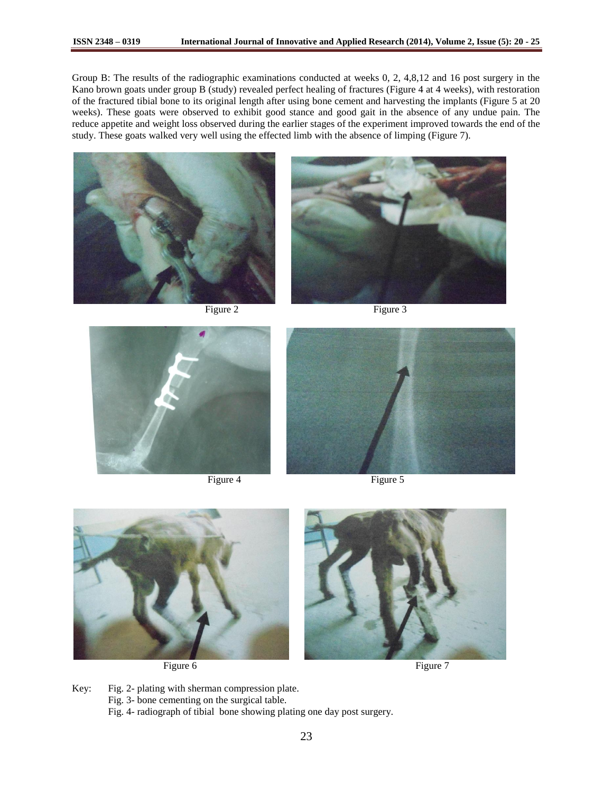Group B: The results of the radiographic examinations conducted at weeks 0, 2, 4,8,12 and 16 post surgery in the Kano brown goats under group B (study) revealed perfect healing of fractures (Figure 4 at 4 weeks), with restoration of the fractured tibial bone to its original length after using bone cement and harvesting the implants (Figure 5 at 20 weeks). These goats were observed to exhibit good stance and good gait in the absence of any undue pain. The reduce appetite and weight loss observed during the earlier stages of the experiment improved towards the end of the study. These goats walked very well using the effected limb with the absence of limping (Figure 7).





Figure 2 Figure 3



Figure 4 Figure 5





Key: Fig. 2- plating with sherman compression plate. Fig. 3- bone cementing on the surgical table. Fig. 4- radiograph of tibial bone showing plating one day post surgery.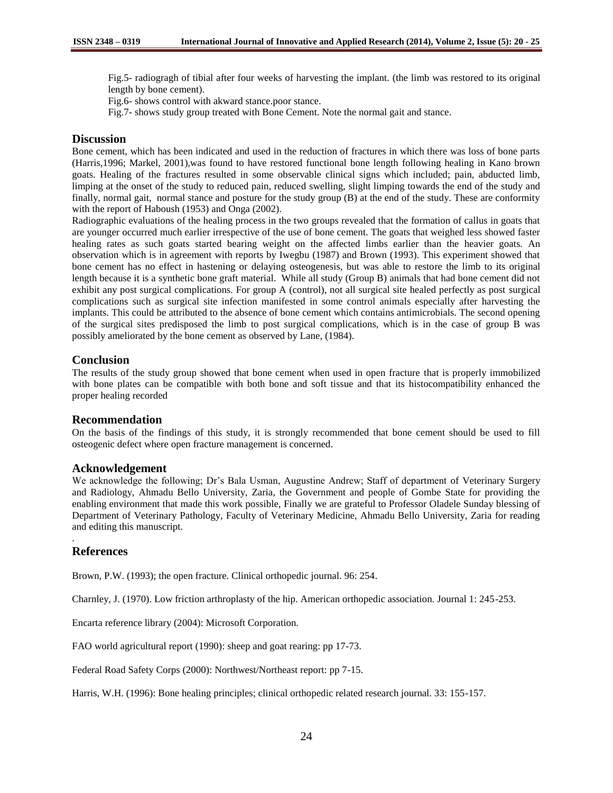Fig.5- radiogragh of tibial after four weeks of harvesting the implant. (the limb was restored to its original length by bone cement).

Fig.6- shows control with akward stance.poor stance.

Fig.7- shows study group treated with Bone Cement. Note the normal gait and stance.

# **Discussion**

Bone cement, which has been indicated and used in the reduction of fractures in which there was loss of bone parts (Harris,1996; Markel, 2001),was found to have restored functional bone length following healing in Kano brown goats. Healing of the fractures resulted in some observable clinical signs which included; pain, abducted limb, limping at the onset of the study to reduced pain, reduced swelling, slight limping towards the end of the study and finally, normal gait, normal stance and posture for the study group (B) at the end of the study. These are conformity with the report of Haboush (1953) and Onga (2002).

Radiographic evaluations of the healing process in the two groups revealed that the formation of callus in goats that are younger occurred much earlier irrespective of the use of bone cement. The goats that weighed less showed faster healing rates as such goats started bearing weight on the affected limbs earlier than the heavier goats. An observation which is in agreement with reports by Iwegbu (1987) and Brown (1993). This experiment showed that bone cement has no effect in hastening or delaying osteogenesis, but was able to restore the limb to its original length because it is a synthetic bone graft material. While all study (Group B) animals that had bone cement did not exhibit any post surgical complications. For group A (control), not all surgical site healed perfectly as post surgical complications such as surgical site infection manifested in some control animals especially after harvesting the implants. This could be attributed to the absence of bone cement which contains antimicrobials. The second opening of the surgical sites predisposed the limb to post surgical complications, which is in the case of group B was possibly ameliorated by the bone cement as observed by Lane, (1984).

# **Conclusion**

The results of the study group showed that bone cement when used in open fracture that is properly immobilized with bone plates can be compatible with both bone and soft tissue and that its histocompatibility enhanced the proper healing recorded

## **Recommendation**

On the basis of the findings of this study, it is strongly recommended that bone cement should be used to fill osteogenic defect where open fracture management is concerned.

## **Acknowledgement**

We acknowledge the following; Dr's Bala Usman, Augustine Andrew; Staff of department of Veterinary Surgery and Radiology, Ahmadu Bello University, Zaria, the Government and people of Gombe State for providing the enabling environment that made this work possible, Finally we are grateful to Professor Oladele Sunday blessing of Department of Veterinary Pathology, Faculty of Veterinary Medicine, Ahmadu Bello University, Zaria for reading and editing this manuscript.

# **References**

.

Brown, P.W. (1993); the open fracture. Clinical orthopedic journal. 96: 254.

Charnley, J. (1970). Low friction arthroplasty of the hip. American orthopedic association. Journal 1: 245-253.

Encarta reference library (2004): Microsoft Corporation.

FAO world agricultural report (1990): sheep and goat rearing: pp 17-73.

Federal Road Safety Corps (2000): Northwest/Northeast report: pp 7-15.

Harris, W.H. (1996): Bone healing principles; clinical orthopedic related research journal. 33: 155-157.